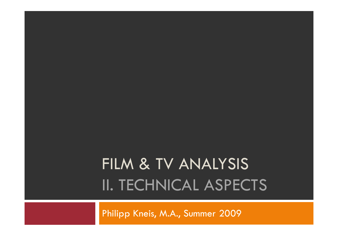# FILM & TV ANALYSIS II. TECHNICAL ASPECTS

Philipp Kneis, M.A., Summer 2009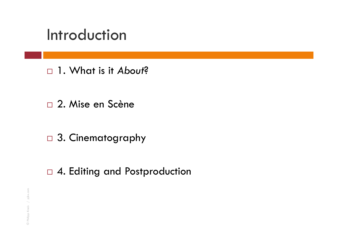### Introduction

1. What is it *About*?

- 2. Mise en Scène
- □ 3. Cinematography
- □ 4. Editing and Postproduction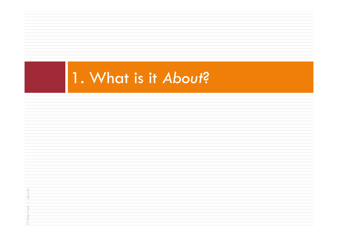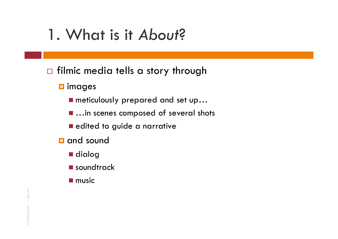- $\Box$  filmic media tells a story through
	- $\square$  images
		- meticulously prepared and set up...
		- **...in scenes composed of several shots**
		- **E** edited to guide a narrative
	- **u** and sound
		- dialog
		- **E** soundtrack
		- $\blacksquare$  music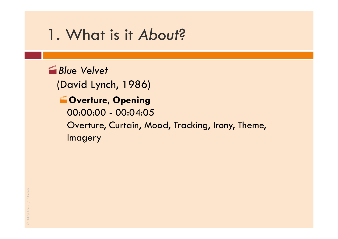#### *<u><i><b>f</del>* Blue Velvet</u>

(David Lynch, 1986)

### **WOVERTURE, Opening** 00:00:00 - 00:04:05 Overture, Curtain, Mood, Tracking, Irony, Theme, **Imagery**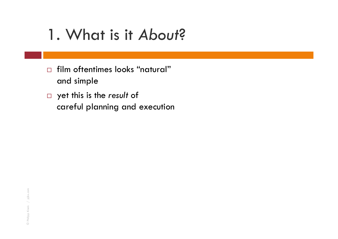- $\Box$  film oftentimes looks "natural" and simple
- yet this is the *result* of careful planning and execution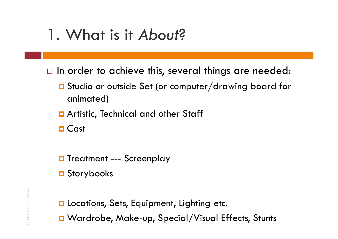- $\Box$  In order to achieve this, several things are needed:
	- Studio or outside Set (or computer/drawing board for animated)
	- **Q** Artistic, Technical and other Staff
	- **□ Cast**
	- **O** Treatment --- Screenplay
	- **□** Storybooks
	- **La Locations, Sets, Equipment, Lighting etc.** ■ Wardrobe, Make-up, Special/Visual Effects, Stunts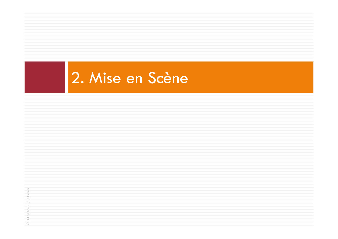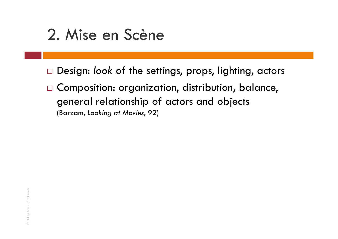### 2. Mise en Scène

- Design: *look* of the settings, props, lighting, actors
- $\Box$  Composition: organization, distribution, balance, general relationship of actors and objects (Barzam, *Looking at Movies*, 92)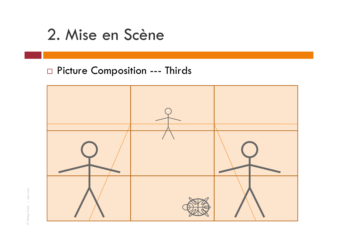### 2. Mise en Scène

### □ Picture Composition --- Thirds

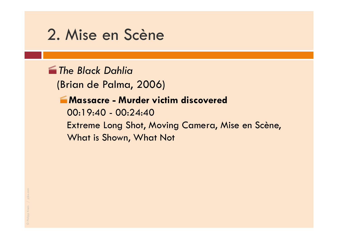### 2. Mise en Scène

*The Black Dahlia*

(Brian de Palma, 2006)

#### **Massacre - Murder victim discovered**

00:19:40 - 00:24:40 Extreme Long Shot, Moving Camera, Mise en Scène, What is Shown, What Not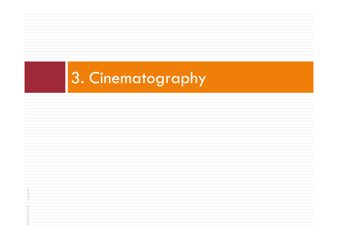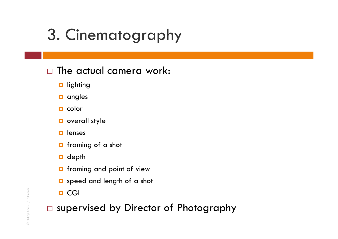### $\square$  The actual camera work:

- $\blacksquare$  lighting
- $\Box$  angles
- $\blacksquare$  color
- **D** overall style
- $\Box$ lenses
- **n** framing of a shot
- $\blacksquare$  depth
- **n** framing and point of view
- **Q** speed and length of a shot
- **□** CGI

supervised by Director of Photography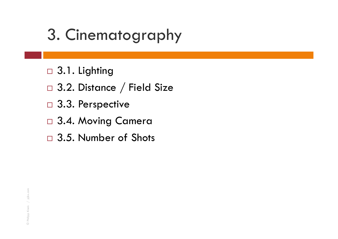- □ 3.1. Lighting
- $\Box$  3.2. Distance  $/$  Field Size
- □ 3.3. Perspective
- □ 3.4. Moving Camera
- □ 3.5. Number of Shots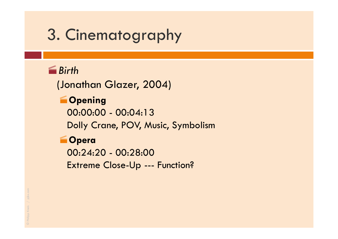### *Birth*

(Jonathan Glazer, 2004)

### **Copening**

00:00:00 - 00:04:13 Dolly Crane, POV, Music, Symbolism

### **Opera**

00:24:20 - 00:28:00 Extreme Close-Up --- Function?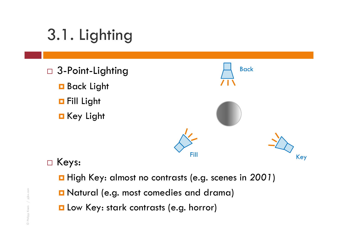# 3.1. Lighting

- □ 3-Point-Lighting
	- **B**ack Light
	- **o** Fill Light
	- **□** Key Light



### □ Keys:

- High Key: almost no contrasts (e.g. scenes in *2001*)
- Natural (e.g. most comedies and drama)
- **L** Low Key: stark contrasts (e.g. horror)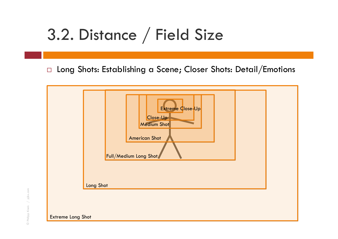### 3.2. Distance / Field Size

 $\Box$  Long Shots: Establishing a Scene; Closer Shots: Detail/Emotions



Extreme Long Shot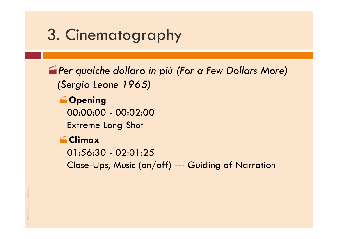*Per qualche dollaro in più (For a Few Dollars More) (Sergio Leone 1965)*

**Comment** 00:00:00 - 00:02:00 Extreme Long Shot

#### **Climax**

01:56:30 - 02:01:25

Close-Ups, Music (on/off) --- Guiding of Narration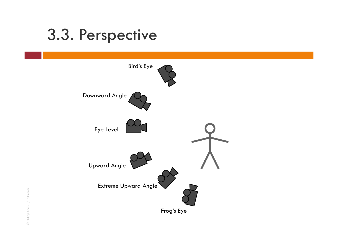### 3.3. Perspective

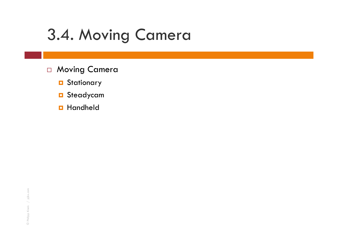## 3.4. Moving Camera

- □ Moving Camera
	- **O** Stationary
	- **o** Steadycam
	- **O** Handheld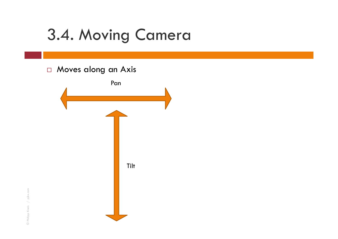### 3.4. Moving Camera

#### □ Moves along an Axis

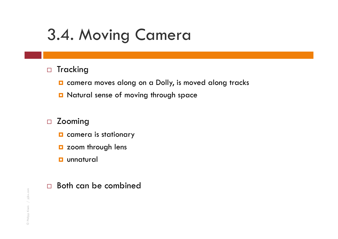# 3.4. Moving Camera

#### $\Box$ Tracking

- $\blacksquare$  camera moves along on a Dolly, is moved along tracks
- **D** Natural sense of moving through space

#### $\Box$ Zooming

- $\blacksquare$  camera is stationary
- **D** zoom through lens
- **unnatural**

#### $\square$  Both can be combined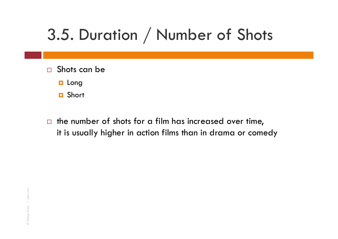# 3.5. Duration / Number of Shots

- $\Box$  Shots can be
	- **o** Long
	- **□** Short
- $\Box$  the number of shots for a film has increased over time, it is usually higher in action films than in drama or comedy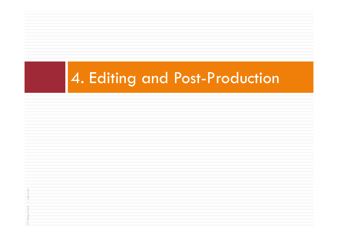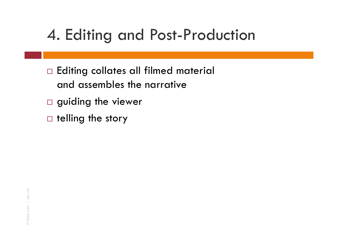### 4. Editing and Post-Production

- $\Box$  Editing collates all filmed material and assembles the narrative
- $\square$  guiding the viewer
- $\square$  telling the story